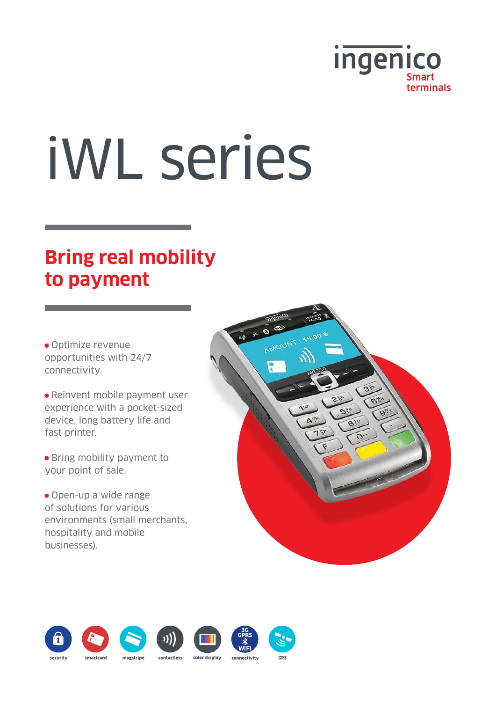

# iWL series

## **Bring real mobility to payment**

• Optimize revenue opportunities with 24/7 connectivity.

• Reinvent mobile payment user experience with a pocket-sized device, long battery life and fast printer.

• Bring mobility payment to your point of sale.

• Open-up a wide range of solutions for various environments (small merchants, hospitality and mobile businesses).